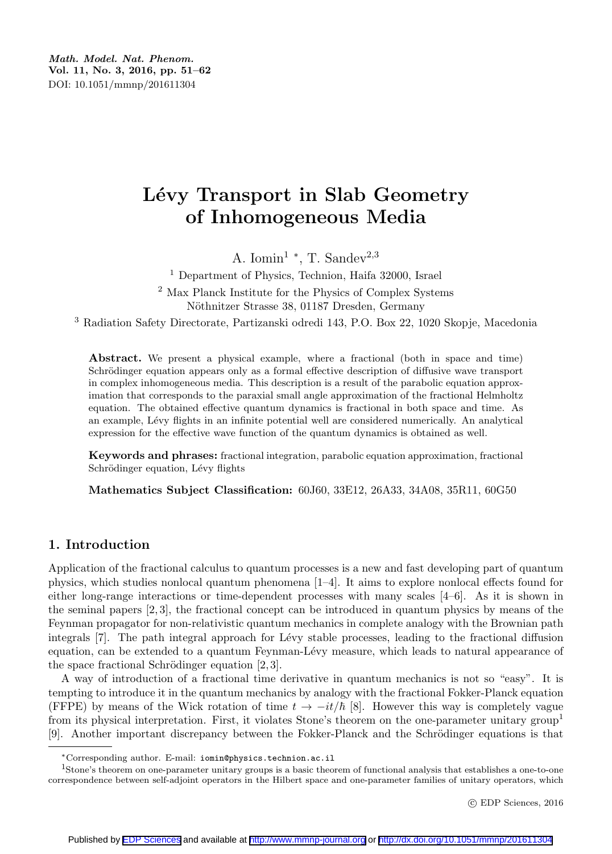Math. Model. Nat. Phenom. Vol. 11, No. 3, 2016, pp. 51–62 DOI: 10.1051/mmnp/201611304

# Lévy Transport in Slab Geometry of Inhomogeneous Media

A. Iomin<sup>1</sup> \*, T. Sandev<sup>2,3</sup>

<sup>1</sup> Department of Physics, Technion, Haifa 32000, Israel <sup>2</sup> Max Planck Institute for the Physics of Complex Systems Nöthnitzer Strasse 38, 01187 Dresden, Germany

<sup>3</sup> Radiation Safety Directorate, Partizanski odredi 143, P.O. Box 22, 1020 Skopje, Macedonia

Abstract. We present a physical example, where a fractional (both in space and time) Schrödinger equation appears only as a formal effective description of diffusive wave transport in complex inhomogeneous media. This description is a result of the parabolic equation approximation that corresponds to the paraxial small angle approximation of the fractional Helmholtz equation. The obtained effective quantum dynamics is fractional in both space and time. As an example, Lévy flights in an infinite potential well are considered numerically. An analytical expression for the effective wave function of the quantum dynamics is obtained as well.

Keywords and phrases: fractional integration, parabolic equation approximation, fractional Schrödinger equation, Lévy flights

Mathematics Subject Classification: 60J60, 33E12, 26A33, 34A08, 35R11, 60G50

# 1. Introduction

Application of the fractional calculus to quantum processes is a new and fast developing part of quantum physics, which studies nonlocal quantum phenomena [1–4]. It aims to explore nonlocal effects found for either long-range interactions or time-dependent processes with many scales [4–6]. As it is shown in the seminal papers [2, 3], the fractional concept can be introduced in quantum physics by means of the Feynman propagator for non-relativistic quantum mechanics in complete analogy with the Brownian path integrals [7]. The path integral approach for Lévy stable processes, leading to the fractional diffusion equation, can be extended to a quantum Feynman-Lévy measure, which leads to natural appearance of the space fractional Schrödinger equation  $[2, 3]$ .

A way of introduction of a fractional time derivative in quantum mechanics is not so "easy". It is tempting to introduce it in the quantum mechanics by analogy with the fractional Fokker-Planck equation (FFPE) by means of the Wick rotation of time  $t \to -it/\hbar$  [8]. However this way is completely vague from its physical interpretation. First, it violates Stone's theorem on the one-parameter unitary group<sup>1</sup> [9]. Another important discrepancy between the Fokker-Planck and the Schrödinger equations is that

<sup>∗</sup>Corresponding author. E-mail: iomin@physics.technion.ac.il

<sup>1</sup>Stone's theorem on one-parameter unitary groups is a basic theorem of functional analysis that establishes a one-to-one correspondence between self-adjoint operators in the Hilbert space and one-parameter families of unitary operators, which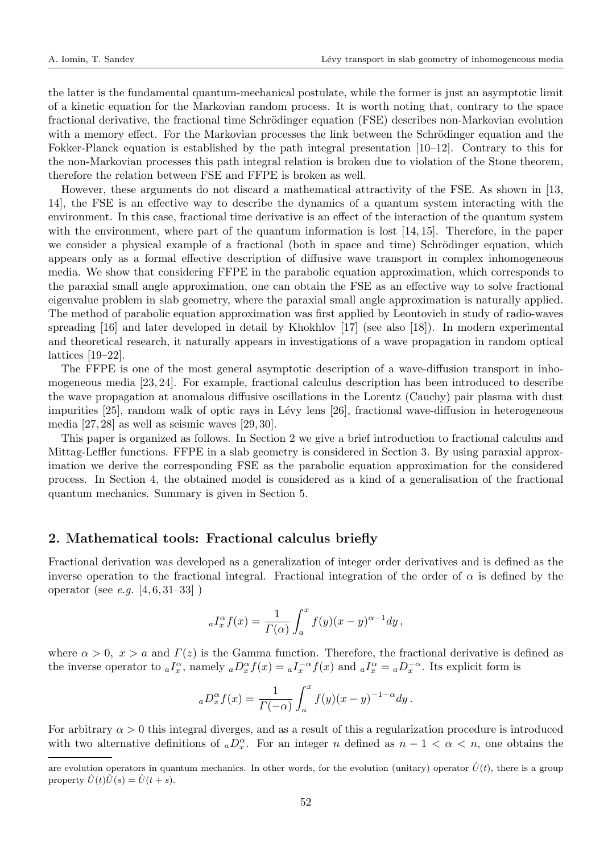the latter is the fundamental quantum-mechanical postulate, while the former is just an asymptotic limit of a kinetic equation for the Markovian random process. It is worth noting that, contrary to the space fractional derivative, the fractional time Schrödinger equation (FSE) describes non-Markovian evolution with a memory effect. For the Markovian processes the link between the Schrödinger equation and the Fokker-Planck equation is established by the path integral presentation [10–12]. Contrary to this for the non-Markovian processes this path integral relation is broken due to violation of the Stone theorem, therefore the relation between FSE and FFPE is broken as well.

However, these arguments do not discard a mathematical attractivity of the FSE. As shown in [13, 14], the FSE is an effective way to describe the dynamics of a quantum system interacting with the environment. In this case, fractional time derivative is an effect of the interaction of the quantum system with the environment, where part of the quantum information is lost [14, 15]. Therefore, in the paper we consider a physical example of a fractional (both in space and time) Schrödinger equation, which appears only as a formal effective description of diffusive wave transport in complex inhomogeneous media. We show that considering FFPE in the parabolic equation approximation, which corresponds to the paraxial small angle approximation, one can obtain the FSE as an effective way to solve fractional eigenvalue problem in slab geometry, where the paraxial small angle approximation is naturally applied. The method of parabolic equation approximation was first applied by Leontovich in study of radio-waves spreading [16] and later developed in detail by Khokhlov [17] (see also [18]). In modern experimental and theoretical research, it naturally appears in investigations of a wave propagation in random optical lattices [19–22].

The FFPE is one of the most general asymptotic description of a wave-diffusion transport in inhomogeneous media [23, 24]. For example, fractional calculus description has been introduced to describe the wave propagation at anomalous diffusive oscillations in the Lorentz (Cauchy) pair plasma with dust impurities [25], random walk of optic rays in Lévy lens [26], fractional wave-diffusion in heterogeneous media [27, 28] as well as seismic waves [29, 30].

This paper is organized as follows. In Section 2 we give a brief introduction to fractional calculus and Mittag-Leffler functions. FFPE in a slab geometry is considered in Section 3. By using paraxial approximation we derive the corresponding FSE as the parabolic equation approximation for the considered process. In Section 4, the obtained model is considered as a kind of a generalisation of the fractional quantum mechanics. Summary is given in Section 5.

## 2. Mathematical tools: Fractional calculus briefly

Fractional derivation was developed as a generalization of integer order derivatives and is defined as the inverse operation to the fractional integral. Fractional integration of the order of  $\alpha$  is defined by the operator (see *e.g.*  $[4, 6, 31-33]$ )

$$
{}_{a}I_{x}^{\alpha}f(x)=\frac{1}{\varGamma(\alpha)}\int_{a}^{x}f(y)(x-y)^{\alpha-1}dy\,,
$$

where  $\alpha > 0$ ,  $x > a$  and  $\Gamma(z)$  is the Gamma function. Therefore, the fractional derivative is defined as the inverse operator to  $_{a}I_{x}^{\alpha}$ , namely  $_{a}D_{x}^{\alpha}f(x) = {}_{a}I_{x}^{-\alpha}f(x)$  and  $_{a}I_{x}^{\alpha} = {}_{a}D_{x}^{-\alpha}$ . Its explicit form is

$$
{}_aD_x^{\alpha}f(x) = \frac{1}{\Gamma(-\alpha)} \int_a^x f(y)(x-y)^{-1-\alpha} dy.
$$

For arbitrary  $\alpha > 0$  this integral diverges, and as a result of this a regularization procedure is introduced with two alternative definitions of  ${_aD_x^{\alpha}}$ . For an integer n defined as  $n-1 < \alpha < n$ , one obtains the

are evolution operators in quantum mechanics. In other words, for the evolution (unitary) operator  $\hat{U}(t)$ , there is a group property  $\hat{U}(t)\hat{U}(s) = \hat{U}(t+s)$ .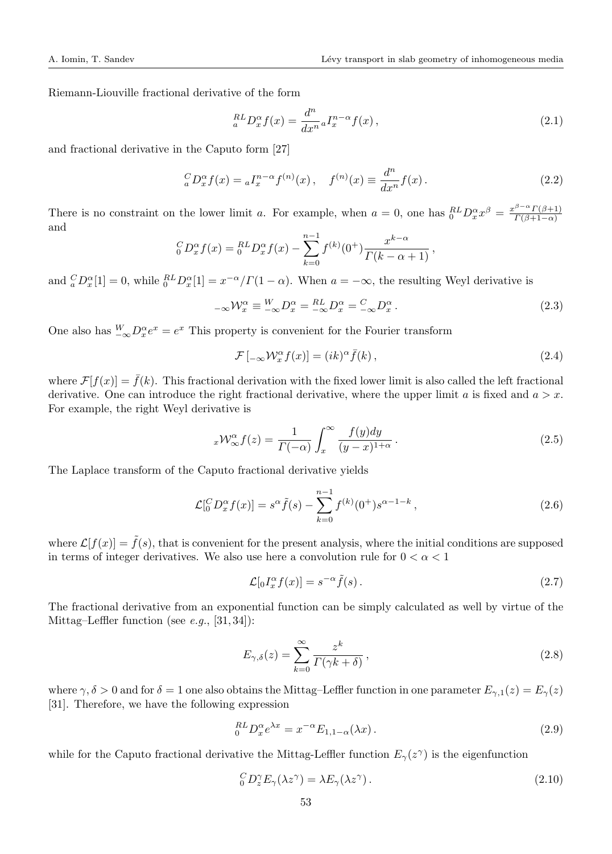Riemann-Liouville fractional derivative of the form

$$
{}_{a}^{RL}D_{x}^{\alpha}f(x) = \frac{d^{n}}{dx^{n}} {}_{a}I_{x}^{n-\alpha}f(x), \qquad (2.1)
$$

and fractional derivative in the Caputo form [27]

$$
{}_{a}^{C}D_{x}^{\alpha}f(x) = {}_{a}I_{x}^{n-\alpha}f^{(n)}(x), \quad f^{(n)}(x) \equiv \frac{d^{n}}{dx^{n}}f(x).
$$
 (2.2)

There is no constraint on the lower limit a. For example, when  $a = 0$ , one has  ${}_{0}^{RL}D_{x}^{\alpha}x^{\beta} = \frac{x^{\beta-\alpha}\Gamma(\beta+1)}{\Gamma(\beta+1-\alpha)}$  $\Gamma(\beta+1-\alpha)$ and

$$
{}_{0}^{C}D_{x}^{\alpha}f(x) = {}_{0}^{RL}D_{x}^{\alpha}f(x) - \sum_{k=0}^{n-1} f^{(k)}(0^{+}) \frac{x^{k-\alpha}}{\Gamma(k-\alpha+1)},
$$

and  ${}_{a}^{C}D_{x}^{\alpha}[1]=0$ , while  ${}_{0}^{RL}D_{x}^{\alpha}[1]=x^{-\alpha}/\Gamma(1-\alpha)$ . When  $a=-\infty$ , the resulting Weyl derivative is

$$
_{-\infty} \mathcal{W}_x^{\alpha} \equiv \frac{W}{-\infty} D_x^{\alpha} = \frac{RL}{-\infty} D_x^{\alpha} = \frac{C}{-\infty} D_x^{\alpha} . \tag{2.3}
$$

One also has  $\frac{W}{-\infty}D_x^{\alpha}e^x = e^x$  This property is convenient for the Fourier transform

$$
\mathcal{F}\left[ -\infty \mathcal{W}_x^{\alpha} f(x) \right] = (ik)^{\alpha} \bar{f}(k) , \qquad (2.4)
$$

where  $\mathcal{F}[f(x)] = \bar{f}(k)$ . This fractional derivation with the fixed lower limit is also called the left fractional derivative. One can introduce the right fractional derivative, where the upper limit a is fixed and  $a > x$ . For example, the right Weyl derivative is

$$
{}_{x}\mathcal{W}^{\alpha}_{\infty}f(z) = \frac{1}{\Gamma(-\alpha)} \int_{x}^{\infty} \frac{f(y)dy}{(y-x)^{1+\alpha}}.
$$
\n(2.5)

The Laplace transform of the Caputo fractional derivative yields

$$
\mathcal{L}[{}_{0}^{C}D_{x}^{\alpha}f(x)] = s^{\alpha}\tilde{f}(s) - \sum_{k=0}^{n-1} f^{(k)}(0^{+})s^{\alpha-1-k}, \qquad (2.6)
$$

where  $\mathcal{L}[f(x)] = \tilde{f}(s)$ , that is convenient for the present analysis, where the initial conditions are supposed in terms of integer derivatives. We also use here a convolution rule for  $0 < \alpha < 1$ 

$$
\mathcal{L}[_0 I_x^{\alpha} f(x)] = s^{-\alpha} \tilde{f}(s).
$$
 (2.7)

The fractional derivative from an exponential function can be simply calculated as well by virtue of the Mittag–Leffler function (see  $e.g., [31, 34]$ ):

$$
E_{\gamma,\delta}(z) = \sum_{k=0}^{\infty} \frac{z^k}{\Gamma(\gamma k + \delta)},
$$
\n(2.8)

where  $\gamma, \delta > 0$  and for  $\delta = 1$  one also obtains the Mittag–Leffler function in one parameter  $E_{\gamma,1}(z) = E_{\gamma}(z)$ [31]. Therefore, we have the following expression

$$
{}_{0}^{RL}D_{x}^{\alpha}e^{\lambda x} = x^{-\alpha}E_{1,1-\alpha}(\lambda x). \tag{2.9}
$$

while for the Caputo fractional derivative the Mittag-Leffler function  $E_{\gamma}(z^{\gamma})$  is the eigenfunction

$$
{}_{0}^{C}D_{z}^{\gamma}E_{\gamma}(\lambda z^{\gamma}) = \lambda E_{\gamma}(\lambda z^{\gamma}). \qquad (2.10)
$$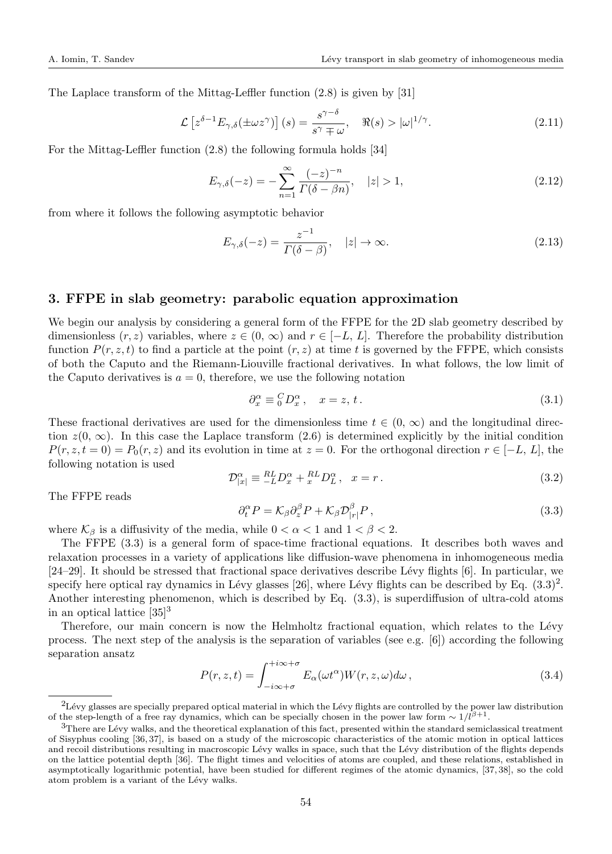The Laplace transform of the Mittag-Leffler function (2.8) is given by [31]

$$
\mathcal{L}\left[z^{\delta-1}E_{\gamma,\delta}(\pm\omega z^{\gamma})\right](s) = \frac{s^{\gamma-\delta}}{s^{\gamma}\mp\omega}, \quad \Re(s) > |\omega|^{1/\gamma}.
$$
 (2.11)

For the Mittag-Leffler function (2.8) the following formula holds [34]

$$
E_{\gamma,\delta}(-z) = -\sum_{n=1}^{\infty} \frac{(-z)^{-n}}{\Gamma(\delta - \beta n)}, \quad |z| > 1,
$$
\n(2.12)

from where it follows the following asymptotic behavior

$$
E_{\gamma,\delta}(-z) = \frac{z^{-1}}{\Gamma(\delta - \beta)}, \quad |z| \to \infty.
$$
\n(2.13)

## 3. FFPE in slab geometry: parabolic equation approximation

We begin our analysis by considering a general form of the FFPE for the 2D slab geometry described by dimensionless  $(r, z)$  variables, where  $z \in (0, \infty)$  and  $r \in [-L, L]$ . Therefore the probability distribution function  $P(r, z, t)$  to find a particle at the point  $(r, z)$  at time t is governed by the FFPE, which consists of both the Caputo and the Riemann-Liouville fractional derivatives. In what follows, the low limit of the Caputo derivatives is  $a = 0$ , therefore, we use the following notation

$$
\partial_x^{\alpha} \equiv {}_0^C D_x^{\alpha}, \quad x = z, t. \tag{3.1}
$$

These fractional derivatives are used for the dimensionless time  $t \in (0, \infty)$  and the longitudinal direction  $z(0, \infty)$ . In this case the Laplace transform (2.6) is determined explicitly by the initial condition  $P(r, z, t = 0) = P_0(r, z)$  and its evolution in time at  $z = 0$ . For the orthogonal direction  $r \in [-L, L]$ , the following notation is used

$$
\mathcal{D}^{\alpha}_{|x|} \equiv \frac{RL}{-L} D^{\alpha}_x + \frac{RL}{x} D^{\alpha}_L, \quad x = r. \tag{3.2}
$$

The FFPE reads

$$
\partial_t^{\alpha} P = \mathcal{K}_{\beta} \partial_z^{\beta} P + \mathcal{K}_{\beta} \mathcal{D}_{|r|}^{\beta} P, \qquad (3.3)
$$

where  $\mathcal{K}_{\beta}$  is a diffusivity of the media, while  $0 < \alpha < 1$  and  $1 < \beta < 2$ .

The FFPE (3.3) is a general form of space-time fractional equations. It describes both waves and relaxation processes in a variety of applications like diffusion-wave phenomena in inhomogeneous media  $[24–29]$ . It should be stressed that fractional space derivatives describe Lévy flights [6]. In particular, we specify here optical ray dynamics in Lévy glasses [26], where Lévy flights can be described by Eq.  $(3.3)^2$ . Another interesting phenomenon, which is described by Eq. (3.3), is superdiffusion of ultra-cold atoms in an optical lattice  $[35]$ <sup>3</sup>

Therefore, our main concern is now the Helmholtz fractional equation, which relates to the Lévy process. The next step of the analysis is the separation of variables (see e.g. [6]) according the following separation ansatz

$$
P(r, z, t) = \int_{-i\infty+\sigma}^{+i\infty+\sigma} E_{\alpha}(\omega t^{\alpha}) W(r, z, \omega) d\omega,
$$
\n(3.4)

 ${}^{2}$ Lévy glasses are specially prepared optical material in which the Lévy flights are controlled by the power law distribution of the step-length of a free ray dynamics, which can be specially chosen in the power law form  $\sim 1/l^{\beta+1}$ .

 $3$ There are Lévy walks, and the theoretical explanation of this fact, presented within the standard semiclassical treatment of Sisyphus cooling [36, 37], is based on a study of the microscopic characteristics of the atomic motion in optical lattices and recoil distributions resulting in macroscopic Lévy walks in space, such that the Lévy distribution of the flights depends on the lattice potential depth [36]. The flight times and velocities of atoms are coupled, and these relations, established in asymptotically logarithmic potential, have been studied for different regimes of the atomic dynamics, [37, 38], so the cold atom problem is a variant of the Lévy walks.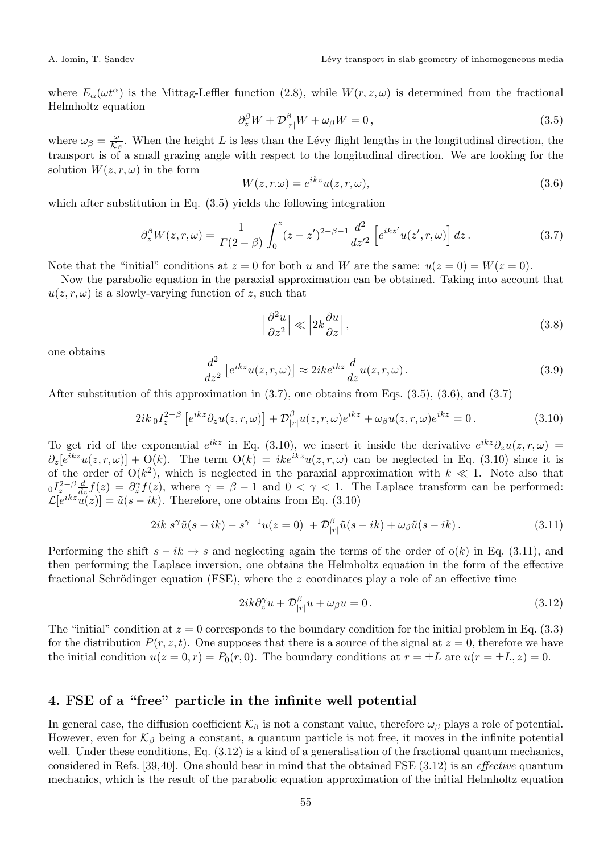where  $E_{\alpha}(\omega t^{\alpha})$  is the Mittag-Leffler function (2.8), while  $W(r, z, \omega)$  is determined from the fractional Helmholtz equation

$$
\partial_z^{\beta} W + \mathcal{D}_{|r|}^{\beta} W + \omega_{\beta} W = 0, \qquad (3.5)
$$

where  $\omega_{\beta} = \frac{\omega}{\mathcal{K}_{\beta}}$ . When the height L is less than the Lévy flight lengths in the longitudinal direction, the transport is of a small grazing angle with respect to the longitudinal direction. We are looking for the solution  $W(z, r, \omega)$  in the form

$$
W(z, r. \omega) = e^{ikz} u(z, r, \omega), \qquad (3.6)
$$

which after substitution in Eq.  $(3.5)$  yields the following integration

$$
\partial_z^{\beta} W(z, r, \omega) = \frac{1}{\Gamma(2-\beta)} \int_0^z (z - z')^{2-\beta - 1} \frac{d^2}{dz'^2} \left[ e^{ikz'} u(z', r, \omega) \right] dz.
$$
 (3.7)

Note that the "initial" conditions at  $z = 0$  for both u and W are the same:  $u(z = 0) = W(z = 0)$ .

Now the parabolic equation in the paraxial approximation can be obtained. Taking into account that  $u(z, r, \omega)$  is a slowly-varying function of z, such that

$$
\left|\frac{\partial^2 u}{\partial z^2}\right| \ll \left|2k \frac{\partial u}{\partial z}\right|,\tag{3.8}
$$

one obtains

$$
\frac{d^2}{dz^2} \left[ e^{ikz} u(z, r, \omega) \right] \approx 2ik e^{ikz} \frac{d}{dz} u(z, r, \omega).
$$
 (3.9)

After substitution of this approximation in (3.7), one obtains from Eqs. (3.5), (3.6), and (3.7)

$$
2ik_0I_z^{2-\beta} \left[e^{ikz}\partial_z u(z,r,\omega)\right] + \mathcal{D}_{|r|}^{\beta}u(z,r,\omega)e^{ikz} + \omega_{\beta}u(z,r,\omega)e^{ikz} = 0.
$$
 (3.10)

To get rid of the exponential  $e^{ikz}$  in Eq. (3.10), we insert it inside the derivative  $e^{ikz}\partial_z u(z,r,\omega)$  $\partial_z[e^{ikz}u(z,r,\omega)] + O(k)$ . The term  $O(k) = ike^{ikz}u(z,r,\omega)$  can be neglected in Eq. (3.10) since it is of the order of  $O(k^2)$ , which is neglected in the paraxial approximation with  $k \ll 1$ . Note also that  $\partial I_z^{2-\beta} \frac{d}{dz} f(z) = \partial_z^{\gamma} f(z)$ , where  $\gamma = \beta - 1$  and  $0 < \gamma < 1$ . The Laplace transform can be performed:  $\mathcal{L}[e^{ikz}u(z)] = \tilde{u}(s - ik)$ . Therefore, one obtains from Eq. (3.10)

$$
2ik[s^{\gamma}\tilde{u}(s-ik) - s^{\gamma-1}u(z=0)] + \mathcal{D}_{|r|}^{\beta}\tilde{u}(s-ik) + \omega_{\beta}\tilde{u}(s-ik). \tag{3.11}
$$

Performing the shift  $s - ik \rightarrow s$  and neglecting again the terms of the order of  $o(k)$  in Eq. (3.11), and then performing the Laplace inversion, one obtains the Helmholtz equation in the form of the effective fractional Schrödinger equation (FSE), where the  $z$  coordinates play a role of an effective time

$$
2ik\partial_z^{\gamma}u + \mathcal{D}_{|r|}^{\beta}u + \omega_{\beta}u = 0.
$$
\n(3.12)

The "initial" condition at  $z = 0$  corresponds to the boundary condition for the initial problem in Eq. (3.3) for the distribution  $P(r, z, t)$ . One supposes that there is a source of the signal at  $z = 0$ , therefore we have the initial condition  $u(z = 0, r) = P_0(r, 0)$ . The boundary conditions at  $r = \pm L$  are  $u(r = \pm L, z) = 0$ .

### 4. FSE of a "free" particle in the infinite well potential

In general case, the diffusion coefficient  $\mathcal{K}_{\beta}$  is not a constant value, therefore  $\omega_{\beta}$  plays a role of potential. However, even for  $\mathcal{K}_{\beta}$  being a constant, a quantum particle is not free, it moves in the infinite potential well. Under these conditions, Eq. (3.12) is a kind of a generalisation of the fractional quantum mechanics, considered in Refs. [39,40]. One should bear in mind that the obtained FSE (3.12) is an effective quantum mechanics, which is the result of the parabolic equation approximation of the initial Helmholtz equation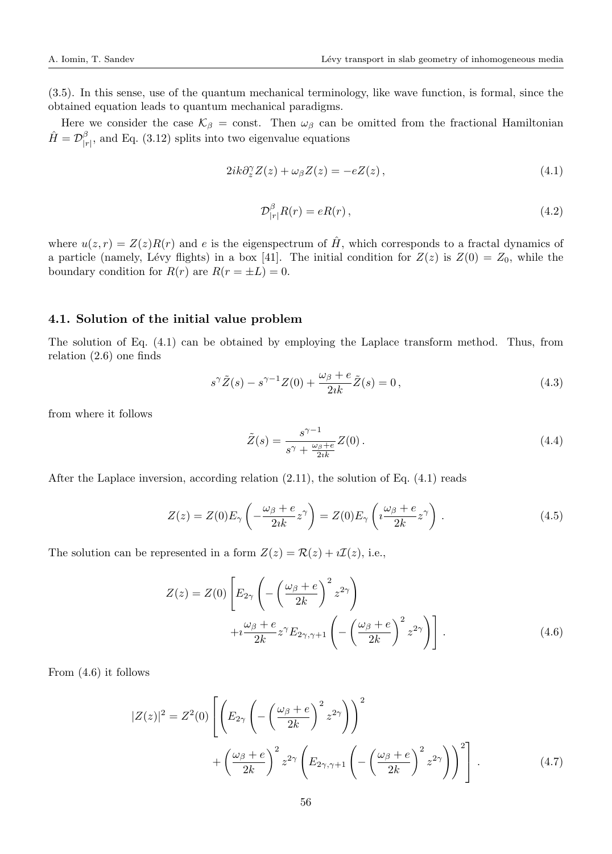(3.5). In this sense, use of the quantum mechanical terminology, like wave function, is formal, since the obtained equation leads to quantum mechanical paradigms.

Here we consider the case  $\mathcal{K}_{\beta} = \text{const.}$  Then  $\omega_{\beta}$  can be omitted from the fractional Hamiltonian  $\hat{H} = \mathcal{D}^{\beta}_{|_{\mathcal{I}}}$  $_{|r|}^{\rho}$ , and Eq. (3.12) splits into two eigenvalue equations

$$
2ik\partial_z^{\gamma}Z(z) + \omega_{\beta}Z(z) = -eZ(z),\tag{4.1}
$$

$$
\mathcal{D}_{|r|}^{\beta} R(r) = eR(r) \,, \tag{4.2}
$$

where  $u(z, r) = Z(z)R(r)$  and e is the eigenspectrum of  $\hat{H}$ , which corresponds to a fractal dynamics of a particle (namely, Lévy flights) in a box [41]. The initial condition for  $Z(z)$  is  $Z(0) = Z_0$ , while the boundary condition for  $R(r)$  are  $R(r = \pm L) = 0$ .

#### 4.1. Solution of the initial value problem

The solution of Eq. (4.1) can be obtained by employing the Laplace transform method. Thus, from relation (2.6) one finds

$$
s^{\gamma}\tilde{Z}(s) - s^{\gamma - 1}Z(0) + \frac{\omega_{\beta} + e}{2ik}\tilde{Z}(s) = 0,
$$
\n(4.3)

from where it follows

$$
\tilde{Z}(s) = \frac{s^{\gamma - 1}}{s^{\gamma} + \frac{\omega_{\beta} + e}{2ik}} Z(0). \tag{4.4}
$$

After the Laplace inversion, according relation (2.11), the solution of Eq. (4.1) reads

$$
Z(z) = Z(0)E_{\gamma}\left(-\frac{\omega_{\beta} + e}{2ik}z^{\gamma}\right) = Z(0)E_{\gamma}\left(i\frac{\omega_{\beta} + e}{2k}z^{\gamma}\right).
$$
 (4.5)

The solution can be represented in a form  $Z(z) = \mathcal{R}(z) + i\mathcal{I}(z)$ , i.e.,

$$
Z(z) = Z(0) \left[ E_{2\gamma} \left( -\left(\frac{\omega_{\beta} + e}{2k}\right)^2 z^{2\gamma} \right) + i \frac{\omega_{\beta} + e}{2k} z^{\gamma} E_{2\gamma, \gamma + 1} \left( -\left(\frac{\omega_{\beta} + e}{2k}\right)^2 z^{2\gamma} \right) \right].
$$
\n(4.6)

From (4.6) it follows

$$
|Z(z)|^2 = Z^2(0) \left[ \left( E_{2\gamma} \left( -\left( \frac{\omega_\beta + e}{2k} \right)^2 z^{2\gamma} \right) \right)^2 + \left( \frac{\omega_\beta + e}{2k} \right)^2 z^{2\gamma} \left( E_{2\gamma,\gamma+1} \left( -\left( \frac{\omega_\beta + e}{2k} \right)^2 z^{2\gamma} \right) \right)^2 \right].
$$
 (4.7)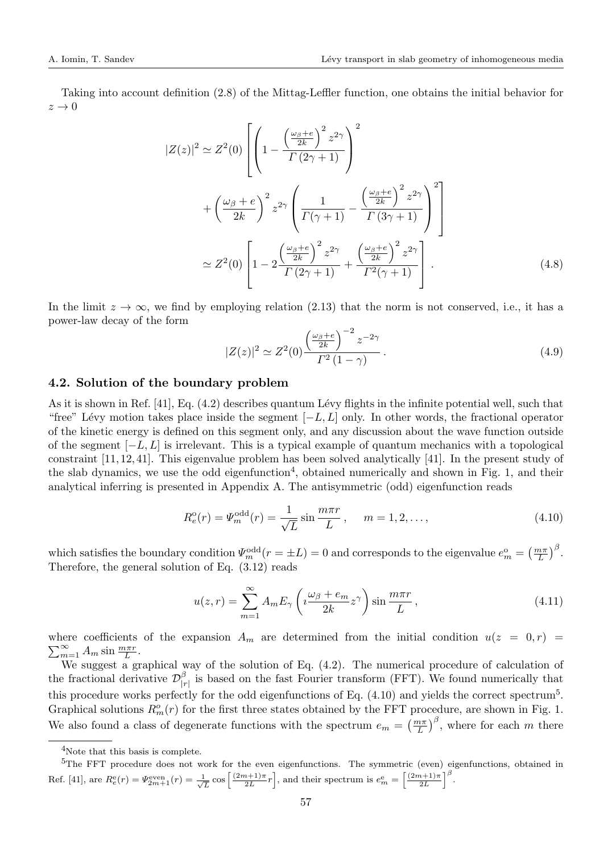Taking into account definition (2.8) of the Mittag-Leffler function, one obtains the initial behavior for  $z \rightarrow 0$ 

$$
|Z(z)|^2 \simeq Z^2(0) \left[ \left( 1 - \frac{\left(\frac{\omega_\beta + e}{2k}\right)^2 z^{2\gamma}}{\Gamma(2\gamma + 1)} \right)^2 \right. \\
\left. + \left(\frac{\omega_\beta + e}{2k}\right)^2 z^{2\gamma} \left( \frac{1}{\Gamma(\gamma + 1)} - \frac{\left(\frac{\omega_\beta + e}{2k}\right)^2 z^{2\gamma}}{\Gamma(3\gamma + 1)} \right)^2 \right] \\
\simeq Z^2(0) \left[ 1 - 2 \frac{\left(\frac{\omega_\beta + e}{2k}\right)^2 z^{2\gamma}}{\Gamma(2\gamma + 1)} + \frac{\left(\frac{\omega_\beta + e}{2k}\right)^2 z^{2\gamma}}{\Gamma^2(\gamma + 1)} \right].\n\tag{4.8}
$$

In the limit  $z \to \infty$ , we find by employing relation (2.13) that the norm is not conserved, i.e., it has a power-law decay of the form

$$
|Z(z)|^2 \simeq Z^2(0) \frac{\left(\frac{\omega_\beta + e}{2k}\right)^{-2} z^{-2\gamma}}{\Gamma^2 (1 - \gamma)}.
$$
\n(4.9)

#### 4.2. Solution of the boundary problem

As it is shown in Ref.  $[41]$ , Eq.  $(4.2)$  describes quantum Lévy flights in the infinite potential well, such that "free" Lévy motion takes place inside the segment  $[-L, L]$  only. In other words, the fractional operator of the kinetic energy is defined on this segment only, and any discussion about the wave function outside of the segment  $[-L, L]$  is irrelevant. This is a typical example of quantum mechanics with a topological constraint [11, 12, 41]. This eigenvalue problem has been solved analytically [41]. In the present study of the slab dynamics, we use the odd eigenfunction<sup>4</sup>, obtained numerically and shown in Fig. 1, and their analytical inferring is presented in Appendix A. The antisymmetric (odd) eigenfunction reads

$$
R_e^{\text{o}}(r) = \Psi_m^{\text{odd}}(r) = \frac{1}{\sqrt{L}} \sin \frac{m \pi r}{L}, \quad m = 1, 2, ..., \qquad (4.10)
$$

which satisfies the boundary condition  $\Psi_m^{\text{odd}}(r = \pm L) = 0$  and corresponds to the eigenvalue  $e_m^{\text{o}} = \left(\frac{m\pi}{L}\right)^{\beta}$ . Therefore, the general solution of Eq.  $(3.12)$  reads

$$
u(z,r) = \sum_{m=1}^{\infty} A_m E_{\gamma} \left( i \frac{\omega_{\beta} + e_m}{2k} z^{\gamma} \right) \sin \frac{m \pi r}{L}, \qquad (4.11)
$$

where coefficients of the expansion  $A_m$  are determined from the initial condition  $u(z = 0,r)$  $\sum_{m=1}^{\infty} A_m \sin \frac{m \pi r}{L}$ .

We suggest a graphical way of the solution of Eq. (4.2). The numerical procedure of calculation of the fractional derivative  $\mathcal{D}_1^{\beta}$  $\frac{p}{|r|}$  is based on the fast Fourier transform (FFT). We found numerically that this procedure works perfectly for the odd eigenfunctions of Eq.  $(4.10)$  and yields the correct spectrum<sup>5</sup>. Graphical solutions  $R_m^o(r)$  for the first three states obtained by the FFT procedure, are shown in Fig. 1. We also found a class of degenerate functions with the spectrum  $e_m = \left(\frac{m\pi}{L}\right)^{\beta}$ , where for each m there

<sup>4</sup>Note that this basis is complete.

<sup>&</sup>lt;sup>5</sup>The FFT procedure does not work for the even eigenfunctions. The symmetric (even) eigenfunctions, obtained in Ref. [41], are  $R_e^e(r) = \Psi_{2m+1}^{\text{even}}(r) = \frac{1}{\sqrt{L}} \cos \left[ \frac{(2m+1)\pi}{2L} r \right]$ , and their spectrum is  $e_m^e = \left[ \frac{(2m+1)\pi}{2L} \right]^{\beta}$ .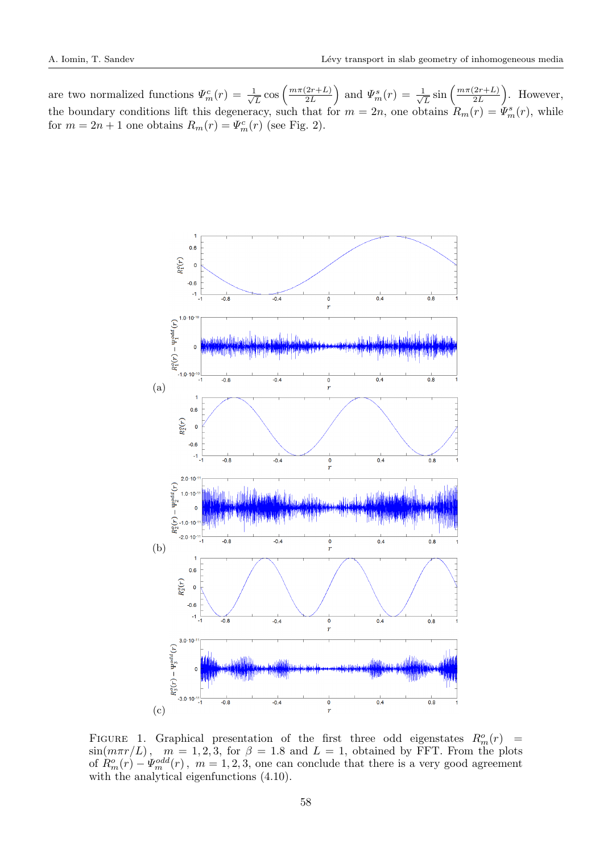are two normalized functions  $\Psi_m^c(r) = \frac{1}{\sqrt{r}}$  $\frac{1}{L}\cos\left(\frac{m\pi(2r+L)}{2L}\right)$  $\left(\frac{2r+L}{2L}\right)$  and  $\Psi_m^s(r) = \frac{1}{\sqrt{2}}$  $\frac{1}{L}\sin\left(\frac{m\pi(2r+L)}{2L}\right)$  $\left(\frac{2r+L}{2L}\right)$ . However, the boundary conditions lift this degeneracy, such that for  $m = 2n$ , one obtains  $R_m(r) = \Psi_m^s(r)$ , while for  $m = 2n + 1$  one obtains  $R_m(r) = \Psi_m^c(r)$  (see Fig. 2).



FIGURE 1. Graphical presentation of the first three odd eigenstates  $R_m^o(r)$  =  $\sin(m\pi r/L)$ ,  $m = 1, 2, 3$ , for  $\beta = 1.8$  and  $L = 1$ , obtained by FFT. From the plots of  $R_m^o(r) - \Psi_m^{odd}(r)$ ,  $m = 1, 2, 3$ , one can conclude that there is a very good agreement with the analytical eigenfunctions (4.10).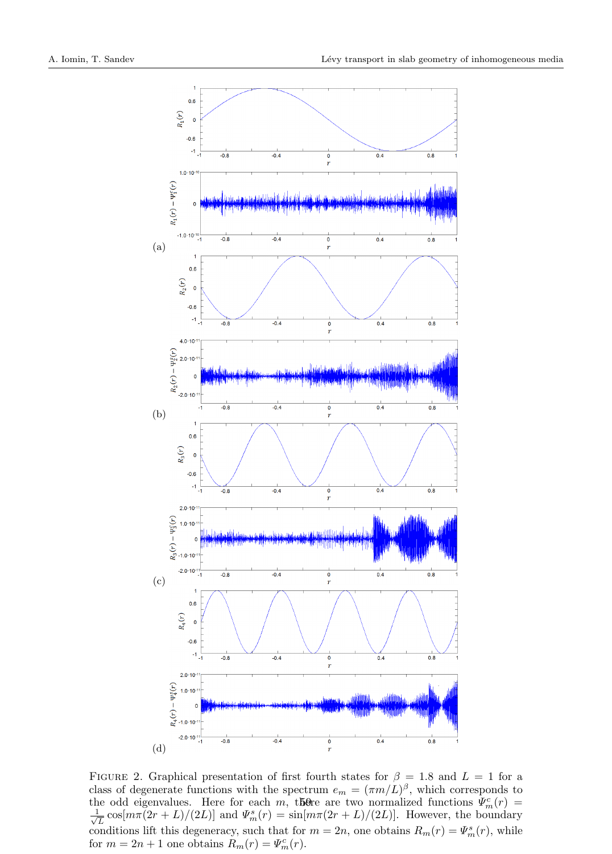

FIGURE 2. Graphical presentation of first fourth states for  $\beta = 1.8$  and  $L = 1$  for a class of degenerate functions with the spectrum  $e_m = (\pi m/L)^{\beta}$ , which corresponds to the odd eigenvalues. Here for each m, there are two normalized functions  $\Psi_m^c(r)$  =  $\frac{1}{2}$  $\frac{L}{L} \cos[m\pi(2r+L)/(2L)]$  and  $\Psi_m^s(r) = \sin[m\pi(2r+L)/(2L)]$ . However, the boundary conditions lift this degeneracy, such that for  $m = 2n$ , one obtains  $R_m(r) = \Psi_m^s(r)$ , while for  $m = 2n + 1$  one obtains  $R_m(r) = \Psi_m^c(r)$ .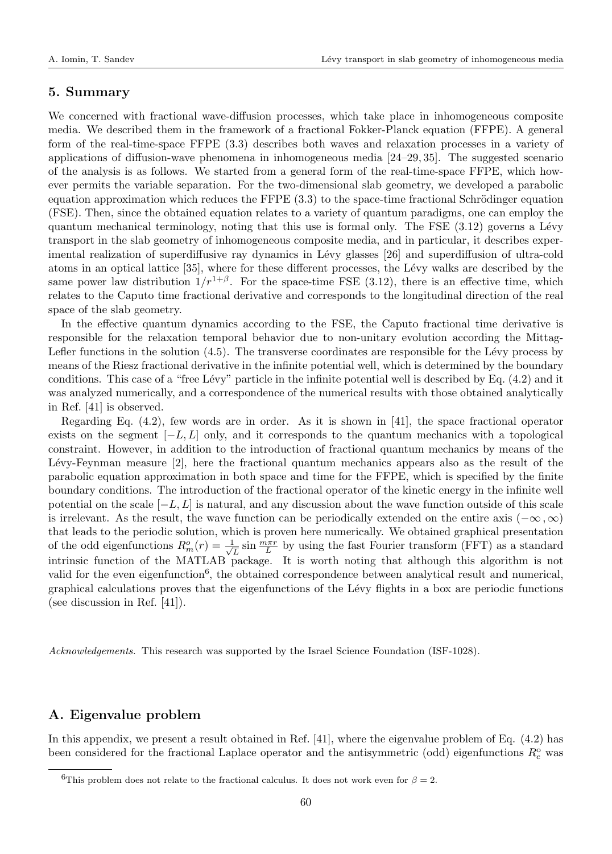## 5. Summary

We concerned with fractional wave-diffusion processes, which take place in inhomogeneous composite media. We described them in the framework of a fractional Fokker-Planck equation (FFPE). A general form of the real-time-space FFPE (3.3) describes both waves and relaxation processes in a variety of applications of diffusion-wave phenomena in inhomogeneous media [24–29, 35]. The suggested scenario of the analysis is as follows. We started from a general form of the real-time-space FFPE, which however permits the variable separation. For the two-dimensional slab geometry, we developed a parabolic equation approximation which reduces the  $\text{FFPE } (3.3)$  to the space-time fractional Schrödinger equation (FSE). Then, since the obtained equation relates to a variety of quantum paradigms, one can employ the quantum mechanical terminology, noting that this use is formal only. The FSE  $(3.12)$  governs a Lévy transport in the slab geometry of inhomogeneous composite media, and in particular, it describes experimental realization of superdiffusive ray dynamics in Lévy glasses [26] and superdiffusion of ultra-cold atoms in an optical lattice [35], where for these different processes, the Lévy walks are described by the same power law distribution  $1/r^{1+\beta}$ . For the space-time FSE (3.12), there is an effective time, which relates to the Caputo time fractional derivative and corresponds to the longitudinal direction of the real space of the slab geometry.

In the effective quantum dynamics according to the FSE, the Caputo fractional time derivative is responsible for the relaxation temporal behavior due to non-unitary evolution according the Mittag-Lefler functions in the solution  $(4.5)$ . The transverse coordinates are responsible for the Lévy process by means of the Riesz fractional derivative in the infinite potential well, which is determined by the boundary conditions. This case of a "free L´evy" particle in the infinite potential well is described by Eq. (4.2) and it was analyzed numerically, and a correspondence of the numerical results with those obtained analytically in Ref. [41] is observed.

Regarding Eq. (4.2), few words are in order. As it is shown in [41], the space fractional operator exists on the segment  $[-L, L]$  only, and it corresponds to the quantum mechanics with a topological constraint. However, in addition to the introduction of fractional quantum mechanics by means of the Lévy-Feynman measure  $[2]$ , here the fractional quantum mechanics appears also as the result of the parabolic equation approximation in both space and time for the FFPE, which is specified by the finite boundary conditions. The introduction of the fractional operator of the kinetic energy in the infinite well potential on the scale  $[-L, L]$  is natural, and any discussion about the wave function outside of this scale is irrelevant. As the result, the wave function can be periodically extended on the entire axis ( $-\infty, \infty$ ) that leads to the periodic solution, which is proven here numerically. We obtained graphical presentation of the odd eigenfunctions  $R_m^o(r) = \frac{1}{\sqrt{2\pi}}$  $\frac{L}{L}$  sin  $\frac{m\pi r}{L}$  by using the fast Fourier transform (FFT) as a standard intrinsic function of the MATLAB package. It is worth noting that although this algorithm is not valid for the even eigenfunction<sup>6</sup>, the obtained correspondence between analytical result and numerical, graphical calculations proves that the eigenfunctions of the L´evy flights in a box are periodic functions (see discussion in Ref. [41]).

Acknowledgements. This research was supported by the Israel Science Foundation (ISF-1028).

# A. Eigenvalue problem

In this appendix, we present a result obtained in Ref. [41], where the eigenvalue problem of Eq. (4.2) has been considered for the fractional Laplace operator and the antisymmetric (odd) eigenfunctions  $R_e^{\text{o}}$  was

<sup>&</sup>lt;sup>6</sup>This problem does not relate to the fractional calculus. It does not work even for  $\beta = 2$ .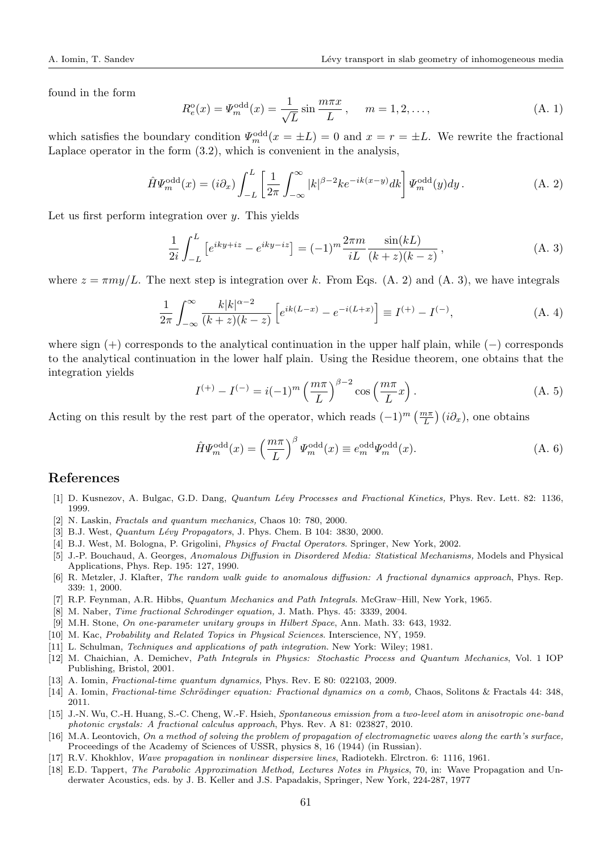found in the form

$$
R_e^{\text{o}}(x) = \Psi_m^{\text{odd}}(x) = \frac{1}{\sqrt{L}} \sin \frac{m\pi x}{L}, \quad m = 1, 2, ..., \tag{A. 1}
$$

which satisfies the boundary condition  $\Psi_m^{\text{odd}}(x = \pm L) = 0$  and  $x = r = \pm L$ . We rewrite the fractional Laplace operator in the form (3.2), which is convenient in the analysis,

$$
\hat{H}\Psi_m^{\text{odd}}(x) = (i\partial_x) \int_{-L}^{L} \left[ \frac{1}{2\pi} \int_{-\infty}^{\infty} |k|^{\beta - 2} k e^{-ik(x - y)} dk \right] \Psi_m^{\text{odd}}(y) dy.
$$
\n(A. 2)

Let us first perform integration over  $y$ . This yields

$$
\frac{1}{2i} \int_{-L}^{L} \left[ e^{iky+iz} - e^{iky-iz} \right] = (-1)^m \frac{2\pi m}{iL} \frac{\sin(kL)}{(k+z)(k-z)},
$$
\n(A. 3)

where  $z = \pi m y/L$ . The next step is integration over k. From Eqs. (A. 2) and (A. 3), we have integrals

$$
\frac{1}{2\pi} \int_{-\infty}^{\infty} \frac{k|k|^{\alpha-2}}{(k+z)(k-z)} \left[ e^{ik(L-x)} - e^{-i(L+x)} \right] \equiv I^{(+)} - I^{(-)}, \tag{A.4}
$$

where sign (+) corresponds to the analytical continuation in the upper half plain, while (−) corresponds to the analytical continuation in the lower half plain. Using the Residue theorem, one obtains that the integration yields

$$
I^{(+)} - I^{(-)} = i(-1)^m \left(\frac{m\pi}{L}\right)^{\beta - 2} \cos\left(\frac{m\pi}{L}x\right).
$$
 (A. 5)

Acting on this result by the rest part of the operator, which reads  $(-1)^m \left(\frac{m\pi}{L}\right) (i\partial_x)$ , one obtains

$$
\hat{H}\Psi_m^{\text{odd}}(x) = \left(\frac{m\pi}{L}\right)^{\beta} \Psi_m^{\text{odd}}(x) \equiv e_m^{\text{odd}} \Psi_m^{\text{odd}}(x). \tag{A. 6}
$$

#### References

- [1] D. Kusnezov, A. Bulgac, G.D. Dang, *Quantum Lévy Processes and Fractional Kinetics*, Phys. Rev. Lett. 82: 1136, 1999.
- [2] N. Laskin, Fractals and quantum mechanics, Chaos 10: 780, 2000.
- [3] B.J. West, *Quantum Lévy Propagators*, J. Phys. Chem. B 104: 3830, 2000.
- [4] B.J. West, M. Bologna, P. Grigolini, Physics of Fractal Operators. Springer, New York, 2002.
- [5] J.-P. Bouchaud, A. Georges, Anomalous Diffusion in Disordered Media: Statistical Mechanisms, Models and Physical Applications, Phys. Rep. 195: 127, 1990.
- [6] R. Metzler, J. Klafter, The random walk guide to anomalous diffusion: A fractional dynamics approach, Phys. Rep. 339: 1, 2000.
- [7] R.P. Feynman, A.R. Hibbs, Quantum Mechanics and Path Integrals. McGraw–Hill, New York, 1965.
- [8] M. Naber, Time fractional Schrodinger equation, J. Math. Phys. 45: 3339, 2004.
- [9] M.H. Stone, On one-parameter unitary groups in Hilbert Space, Ann. Math. 33: 643, 1932.
- [10] M. Kac, Probability and Related Topics in Physical Sciences. Interscience, NY, 1959.
- [11] L. Schulman, Techniques and applications of path integration. New York: Wiley; 1981.
- [12] M. Chaichian, A. Demichev, Path Integrals in Physics: Stochastic Process and Quantum Mechanics, Vol. 1 IOP Publishing, Bristol, 2001.
- [13] A. Iomin, Fractional-time quantum dynamics, Phys. Rev. E 80: 022103, 2009.
- [14] A. Iomin, Fractional-time Schrödinger equation: Fractional dynamics on a comb, Chaos, Solitons & Fractals 44: 348, 2011.
- [15] J.-N. Wu, C.-H. Huang, S.-C. Cheng, W.-F. Hsieh, Spontaneous emission from a two-level atom in anisotropic one-band photonic crystals: A fractional calculus approach, Phys. Rev. A 81: 023827, 2010.
- [16] M.A. Leontovich, On a method of solving the problem of propagation of electromagnetic waves along the earth's surface, Proceedings of the Academy of Sciences of USSR, physics 8, 16 (1944) (in Russian).
- [17] R.V. Khokhlov, Wave propagation in nonlinear dispersive lines, Radiotekh. Elrctron. 6: 1116, 1961.
- [18] E.D. Tappert, The Parabolic Approximation Method, Lectures Notes in Physics, 70, in: Wave Propagation and Underwater Acoustics, eds. by J. B. Keller and J.S. Papadakis, Springer, New York, 224-287, 1977